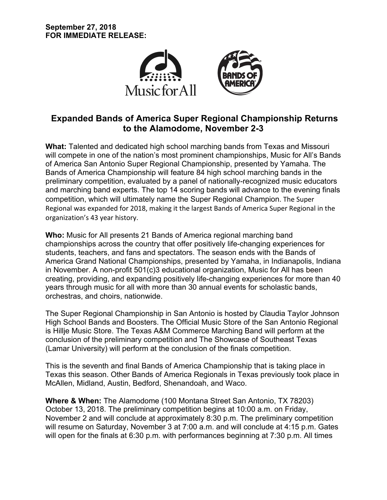

# **Expanded Bands of America Super Regional Championship Returns to the Alamodome, November 2-3**

**What:** Talented and dedicated high school marching bands from Texas and Missouri will compete in one of the nation's most prominent championships, Music for All's Bands of America San Antonio Super Regional Championship, presented by Yamaha. The Bands of America Championship will feature 84 high school marching bands in the preliminary competition, evaluated by a panel of nationally-recognized music educators and marching band experts. The top 14 scoring bands will advance to the evening finals competition, which will ultimately name the Super Regional Champion. The Super Regional was expanded for 2018, making it the largest Bands of America Super Regional in the organization's 43 year history.

**Who:** Music for All presents 21 Bands of America regional marching band championships across the country that offer positively life-changing experiences for students, teachers, and fans and spectators. The season ends with the Bands of America Grand National Championships, presented by Yamaha, in Indianapolis, Indiana in November. A non-profit 501(c)3 educational organization, Music for All has been creating, providing, and expanding positively life-changing experiences for more than 40 years through music for all with more than 30 annual events for scholastic bands, orchestras, and choirs, nationwide.

The Super Regional Championship in San Antonio is hosted by Claudia Taylor Johnson High School Bands and Boosters. The Official Music Store of the San Antonio Regional is Hillje Music Store. The Texas A&M Commerce Marching Band will perform at the conclusion of the preliminary competition and The Showcase of Southeast Texas (Lamar University) will perform at the conclusion of the finals competition.

This is the seventh and final Bands of America Championship that is taking place in Texas this season. Other Bands of America Regionals in Texas previously took place in McAllen, Midland, Austin, Bedford, Shenandoah, and Waco.

**Where & When:** The Alamodome (100 Montana Street San Antonio, TX 78203) October 13, 2018. The preliminary competition begins at 10:00 a.m. on Friday, November 2 and will conclude at approximately 8:30 p.m. The preliminary competition will resume on Saturday, November 3 at 7:00 a.m. and will conclude at 4:15 p.m. Gates will open for the finals at 6:30 p.m. with performances beginning at 7:30 p.m. All times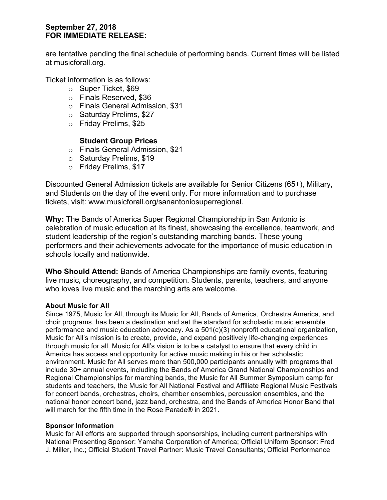## **September 27, 2018 FOR IMMEDIATE RELEASE:**

are tentative pending the final schedule of performing bands. Current times will be listed at musicforall.org.

Ticket information is as follows:

- o Super Ticket, \$69
- o Finals Reserved, \$36
- o Finals General Admission, \$31
- o Saturday Prelims, \$27
- o Friday Prelims, \$25

## **Student Group Prices**

- o Finals General Admission, \$21
- o Saturday Prelims, \$19
- o Friday Prelims, \$17

Discounted General Admission tickets are available for Senior Citizens (65+), Military, and Students on the day of the event only. For more information and to purchase tickets, visit: www.musicforall.org/sanantoniosuperregional.

**Why:** The Bands of America Super Regional Championship in San Antonio is celebration of music education at its finest, showcasing the excellence, teamwork, and student leadership of the region's outstanding marching bands. These young performers and their achievements advocate for the importance of music education in schools locally and nationwide.

**Who Should Attend:** Bands of America Championships are family events, featuring live music, choreography, and competition. Students, parents, teachers, and anyone who loves live music and the marching arts are welcome.

#### **About Music for All**

Since 1975, Music for All, through its Music for All, Bands of America, Orchestra America, and choir programs, has been a destination and set the standard for scholastic music ensemble performance and music education advocacy. As a 501(c)(3) nonprofit educational organization, Music for All's mission is to create, provide, and expand positively life-changing experiences through music for all. Music for All's vision is to be a catalyst to ensure that every child in America has access and opportunity for active music making in his or her scholastic environment. Music for All serves more than 500,000 participants annually with programs that include 30+ annual events, including the Bands of America Grand National Championships and Regional Championships for marching bands, the Music for All Summer Symposium camp for students and teachers, the Music for All National Festival and Affiliate Regional Music Festivals for concert bands, orchestras, choirs, chamber ensembles, percussion ensembles, and the national honor concert band, jazz band, orchestra, and the Bands of America Honor Band that will march for the fifth time in the Rose Parade® in 2021.

#### **Sponsor Information**

Music for All efforts are supported through sponsorships, including current partnerships with National Presenting Sponsor: Yamaha Corporation of America; Official Uniform Sponsor: Fred J. Miller, Inc.; Official Student Travel Partner: Music Travel Consultants; Official Performance